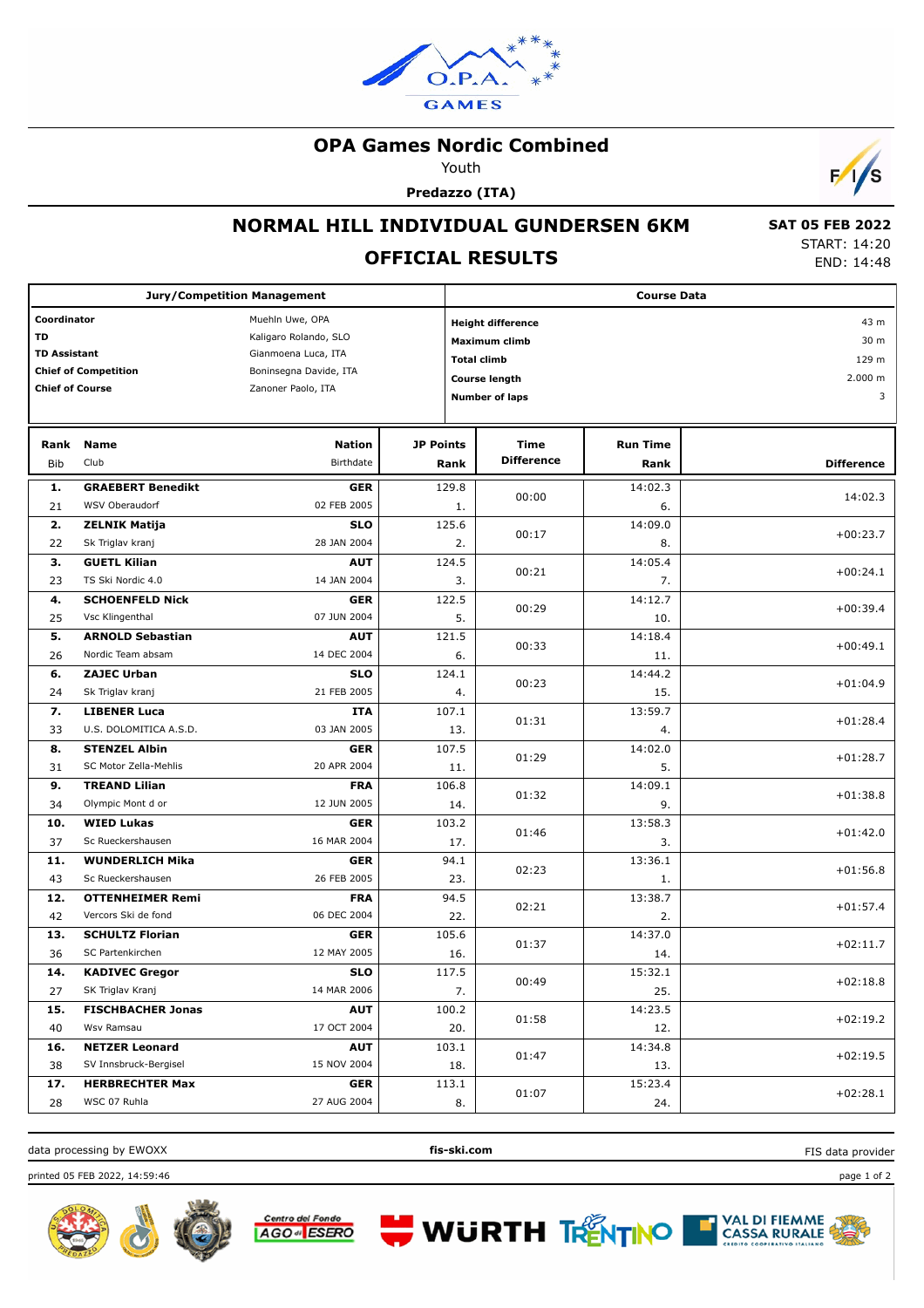

# **OPA Games Nordic Combined**

Youth

**Predazzo (ITA)**



 **SAT 05 FEB 2022** START: 14:20 END: 14:48

#### **NORMAL HILL INDIVIDUAL GUNDERSEN 6KM**

# **OFFICIAL RESULTS**

| <b>Jury/Competition Management</b>                                                                       |                          |                                                                                                                 |                  |                                                                                                                         | <b>Course Data</b>        |                         |                                       |  |
|----------------------------------------------------------------------------------------------------------|--------------------------|-----------------------------------------------------------------------------------------------------------------|------------------|-------------------------------------------------------------------------------------------------------------------------|---------------------------|-------------------------|---------------------------------------|--|
| Coordinator<br><b>TD</b><br><b>TD Assistant</b><br><b>Chief of Competition</b><br><b>Chief of Course</b> |                          | Muehln Uwe, OPA<br>Kaligaro Rolando, SLO<br>Gianmoena Luca, ITA<br>Boninsegna Davide, ITA<br>Zanoner Paolo, ITA |                  | <b>Height difference</b><br><b>Maximum climb</b><br><b>Total climb</b><br><b>Course length</b><br><b>Number of laps</b> |                           |                         | 43 m<br>30 m<br>129 m<br>2.000 m<br>3 |  |
| Rank<br>Bib                                                                                              | Name<br>Club             | <b>Nation</b><br>Birthdate                                                                                      | <b>JP Points</b> | Rank                                                                                                                    | Time<br><b>Difference</b> | <b>Run Time</b><br>Rank | <b>Difference</b>                     |  |
|                                                                                                          |                          |                                                                                                                 |                  |                                                                                                                         |                           |                         |                                       |  |
| 1.                                                                                                       | <b>GRAEBERT Benedikt</b> | <b>GER</b>                                                                                                      |                  | 129.8                                                                                                                   | 00:00                     | 14:02.3                 | 14:02.3                               |  |
| 21                                                                                                       | WSV Oberaudorf           | 02 FEB 2005                                                                                                     |                  | 1.                                                                                                                      |                           | 6.                      |                                       |  |
| 2.                                                                                                       | <b>ZELNIK Matija</b>     | <b>SLO</b>                                                                                                      |                  | 125.6                                                                                                                   | 00:17                     | 14:09.0                 | $+00:23.7$                            |  |
| 22                                                                                                       | Sk Triglav kranj         | 28 JAN 2004                                                                                                     |                  | 2.                                                                                                                      |                           | 8.                      |                                       |  |
| 3.                                                                                                       | <b>GUETL Kilian</b>      | <b>AUT</b>                                                                                                      |                  | 124.5                                                                                                                   | 00:21                     | 14:05.4                 | $+00:24.1$                            |  |
| 23                                                                                                       | TS Ski Nordic 4.0        | 14 JAN 2004                                                                                                     |                  | 3.                                                                                                                      |                           | 7.                      |                                       |  |
| 4.                                                                                                       | <b>SCHOENFELD Nick</b>   | <b>GER</b>                                                                                                      |                  | 122.5                                                                                                                   | 00:29                     | 14:12.7                 | $+00:39.4$                            |  |
| 25                                                                                                       | Vsc Klingenthal          | 07 JUN 2004                                                                                                     |                  | 5.                                                                                                                      |                           | 10.                     |                                       |  |
| 5.                                                                                                       | <b>ARNOLD Sebastian</b>  | <b>AUT</b>                                                                                                      |                  | 121.5                                                                                                                   | 00:33                     | 14:18.4                 | $+00:49.1$                            |  |
| 26                                                                                                       | Nordic Team absam        | 14 DEC 2004                                                                                                     |                  | 6.                                                                                                                      |                           | 11.                     |                                       |  |
| 6.                                                                                                       | <b>ZAJEC Urban</b>       | <b>SLO</b>                                                                                                      |                  | 124.1                                                                                                                   | 00:23                     | 14:44.2                 | $+01:04.9$                            |  |
| 24                                                                                                       | Sk Triglav kranj         | 21 FEB 2005                                                                                                     |                  | 4.                                                                                                                      |                           | 15.                     |                                       |  |
| 7.                                                                                                       | <b>LIBENER Luca</b>      | <b>ITA</b>                                                                                                      |                  | 107.1                                                                                                                   | 01:31                     | 13:59.7                 | $+01:28.4$                            |  |
| 33                                                                                                       | U.S. DOLOMITICA A.S.D.   | 03 JAN 2005                                                                                                     |                  | 13.                                                                                                                     |                           | 4.                      |                                       |  |
| 8.                                                                                                       | <b>STENZEL Albin</b>     | <b>GER</b>                                                                                                      |                  | 107.5                                                                                                                   |                           | 14:02.0                 |                                       |  |
| 31                                                                                                       | SC Motor Zella-Mehlis    | 20 APR 2004                                                                                                     |                  | 11.                                                                                                                     | 01:29                     | 5.                      | $+01:28.7$                            |  |
| 9.                                                                                                       | <b>TREAND Lilian</b>     | <b>FRA</b>                                                                                                      |                  | 106.8                                                                                                                   |                           | 14:09.1                 |                                       |  |
| 34                                                                                                       | Olympic Mont d or        | 12 JUN 2005                                                                                                     |                  | 14.                                                                                                                     | 01:32                     | 9.                      | $+01:38.8$                            |  |
| 10.                                                                                                      | <b>WIED Lukas</b>        | <b>GER</b>                                                                                                      |                  | 103.2                                                                                                                   |                           | 13:58.3                 |                                       |  |
| 37                                                                                                       | Sc Rueckershausen        | 16 MAR 2004                                                                                                     |                  | 17.                                                                                                                     | 01:46                     | 3.                      | $+01:42.0$                            |  |
| 11.                                                                                                      | <b>WUNDERLICH Mika</b>   | <b>GER</b>                                                                                                      |                  | 94.1                                                                                                                    |                           | 13:36.1                 |                                       |  |
| 43                                                                                                       | Sc Rueckershausen        | 26 FEB 2005                                                                                                     |                  | 23.                                                                                                                     | 02:23                     | 1.                      | $+01:56.8$                            |  |
| 12.                                                                                                      | <b>OTTENHEIMER Remi</b>  | <b>FRA</b>                                                                                                      |                  | 94.5                                                                                                                    |                           | 13:38.7                 |                                       |  |
| 42                                                                                                       | Vercors Ski de fond      | 06 DEC 2004                                                                                                     |                  | 22.                                                                                                                     | 02:21                     | 2.                      | $+01:57.4$                            |  |
| 13.                                                                                                      | <b>SCHULTZ Florian</b>   | <b>GER</b>                                                                                                      |                  | 105.6                                                                                                                   |                           | 14:37.0                 |                                       |  |
| 36                                                                                                       | SC Partenkirchen         | 12 MAY 2005                                                                                                     |                  | 16.                                                                                                                     | 01:37                     | 14.                     | $+02:11.7$                            |  |
| 14.                                                                                                      | <b>KADIVEC Gregor</b>    | <b>SLO</b>                                                                                                      |                  | 117.5<br>00:49<br>7.                                                                                                    |                           | 15:32.1                 |                                       |  |
| 27                                                                                                       | SK Triglav Kranj         | 14 MAR 2006                                                                                                     |                  |                                                                                                                         |                           | 25.                     | $+02:18.8$                            |  |
| 15.                                                                                                      | <b>FISCHBACHER Jonas</b> | <b>AUT</b>                                                                                                      |                  | 100.2                                                                                                                   |                           | 14:23.5                 |                                       |  |
| 40                                                                                                       | Wsv Ramsau               | 17 OCT 2004                                                                                                     |                  | 01:58<br>20.                                                                                                            |                           | 12.                     | $+02:19.2$                            |  |
| 16.                                                                                                      | <b>NETZER Leonard</b>    | <b>AUT</b>                                                                                                      |                  | 103.1                                                                                                                   |                           | 14:34.8                 |                                       |  |
| 38                                                                                                       | SV Innsbruck-Bergisel    | 15 NOV 2004                                                                                                     |                  | 18.                                                                                                                     | 01:47                     | 13.                     | $+02:19.5$                            |  |
| 17.                                                                                                      | <b>HERBRECHTER Max</b>   | <b>GER</b>                                                                                                      |                  | 113.1                                                                                                                   |                           | 15:23.4                 |                                       |  |
| 28                                                                                                       | WSC 07 Ruhla             | 27 AUG 2004                                                                                                     |                  | 8.                                                                                                                      | 01:07                     | 24.                     | $+02:28.1$                            |  |



**WURTH TRENTINO** 

FIS data provider

printed 05 FEB 2022, 14:59:46 page 1 of 2